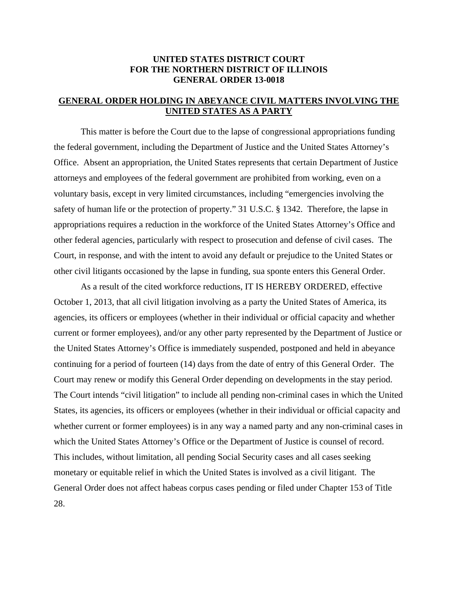## **UNITED STATES DISTRICT COURT FOR THE NORTHERN DISTRICT OF ILLINOIS GENERAL ORDER 13-0018**

## **GENERAL ORDER HOLDING IN ABEYANCE CIVIL MATTERS INVOLVING THE UNITED STATES AS A PARTY**

 This matter is before the Court due to the lapse of congressional appropriations funding the federal government, including the Department of Justice and the United States Attorney's Office. Absent an appropriation, the United States represents that certain Department of Justice attorneys and employees of the federal government are prohibited from working, even on a voluntary basis, except in very limited circumstances, including "emergencies involving the safety of human life or the protection of property." 31 U.S.C. § 1342. Therefore, the lapse in appropriations requires a reduction in the workforce of the United States Attorney's Office and other federal agencies, particularly with respect to prosecution and defense of civil cases. The Court, in response, and with the intent to avoid any default or prejudice to the United States or other civil litigants occasioned by the lapse in funding, sua sponte enters this General Order.

 As a result of the cited workforce reductions, IT IS HEREBY ORDERED, effective October 1, 2013, that all civil litigation involving as a party the United States of America, its agencies, its officers or employees (whether in their individual or official capacity and whether current or former employees), and/or any other party represented by the Department of Justice or the United States Attorney's Office is immediately suspended, postponed and held in abeyance continuing for a period of fourteen (14) days from the date of entry of this General Order. The Court may renew or modify this General Order depending on developments in the stay period. The Court intends "civil litigation" to include all pending non-criminal cases in which the United States, its agencies, its officers or employees (whether in their individual or official capacity and whether current or former employees) is in any way a named party and any non-criminal cases in which the United States Attorney's Office or the Department of Justice is counsel of record. This includes, without limitation, all pending Social Security cases and all cases seeking monetary or equitable relief in which the United States is involved as a civil litigant. The General Order does not affect habeas corpus cases pending or filed under Chapter 153 of Title 28.